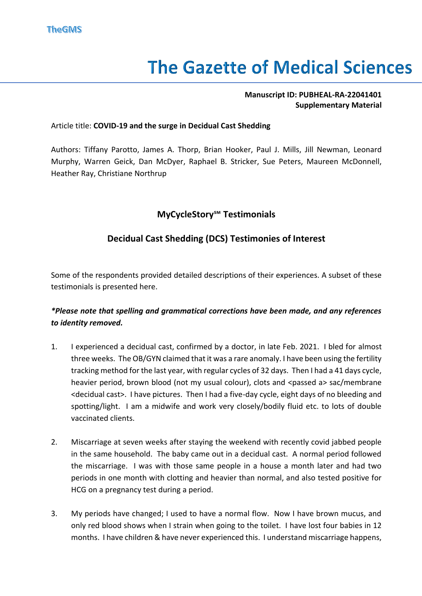# **The Gazette of Medical Sciences**

#### **Manuscript ID: PUBHEAL-RA-22041401 Supplementary Material**

#### Article title: **COVID-19 and the surge in Decidual Cast Shedding**

Authors: Tiffany Parotto, James A. Thorp, Brian Hooker, Paul J. Mills, Jill Newman, Leonard Murphy, Warren Geick, Dan McDyer, Raphael B. Stricker, Sue Peters, Maureen McDonnell, Heather Ray, Christiane Northrup

## **MyCycleStory℠ Testimonials**

## **Decidual Cast Shedding (DCS) Testimonies of Interest**

Some of the respondents provided detailed descriptions of their experiences. A subset of these testimonials is presented here.

### *\*Please note that spelling and grammatical corrections have been made, and any references to identity removed.*

- 1. I experienced a decidual cast, confirmed by a doctor, in late Feb. 2021. I bled for almost three weeks. The OB/GYN claimed that it was a rare anomaly. I have been using the fertility tracking method for the last year, with regular cycles of 32 days. Then I had a 41 days cycle, heavier period, brown blood (not my usual colour), clots and <passed a> sac/membrane <decidual cast>. I have pictures. Then I had a five-day cycle, eight days of no bleeding and spotting/light. I am a midwife and work very closely/bodily fluid etc. to lots of double vaccinated clients.
- 2. Miscarriage at seven weeks after staying the weekend with recently covid jabbed people in the same household. The baby came out in a decidual cast. A normal period followed the miscarriage. I was with those same people in a house a month later and had two periods in one month with clotting and heavier than normal, and also tested positive for HCG on a pregnancy test during a period.
- 3. My periods have changed; I used to have a normal flow. Now I have brown mucus, and only red blood shows when I strain when going to the toilet. I have lost four babies in 12 months. I have children & have never experienced this. I understand miscarriage happens,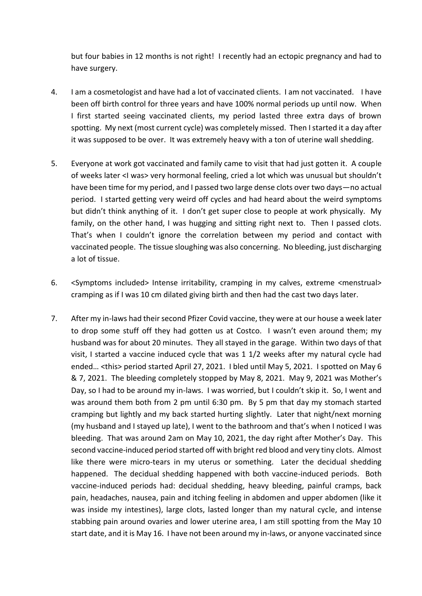but four babies in 12 months is not right! I recently had an ectopic pregnancy and had to have surgery.

- 4. I am a cosmetologist and have had a lot of vaccinated clients. I am not vaccinated. I have been off birth control for three years and have 100% normal periods up until now. When I first started seeing vaccinated clients, my period lasted three extra days of brown spotting. My next (most current cycle) was completely missed. Then I started it a day after it was supposed to be over. It was extremely heavy with a ton of uterine wall shedding.
- 5. Everyone at work got vaccinated and family came to visit that had just gotten it. A couple of weeks later <I was> very hormonal feeling, cried a lot which was unusual but shouldn't have been time for my period, and I passed two large dense clots over two days—no actual period. I started getting very weird off cycles and had heard about the weird symptoms but didn't think anything of it. I don't get super close to people at work physically. My family, on the other hand, I was hugging and sitting right next to. Then I passed clots. That's when I couldn't ignore the correlation between my period and contact with vaccinated people. The tissue sloughing was also concerning. No bleeding, just discharging a lot of tissue.
- 6. <Symptoms included> Intense irritability, cramping in my calves, extreme <menstrual> cramping as if I was 10 cm dilated giving birth and then had the cast two days later.
- 7. After my in-laws had their second Pfizer Covid vaccine, they were at our house a week later to drop some stuff off they had gotten us at Costco. I wasn't even around them; my husband was for about 20 minutes. They all stayed in the garage. Within two days of that visit, I started a vaccine induced cycle that was 1 1/2 weeks after my natural cycle had ended… <this> period started April 27, 2021. I bled until May 5, 2021. I spotted on May 6 & 7, 2021. The bleeding completely stopped by May 8, 2021. May 9, 2021 was Mother's Day, so I had to be around my in-laws. I was worried, but I couldn't skip it. So, I went and was around them both from 2 pm until 6:30 pm. By 5 pm that day my stomach started cramping but lightly and my back started hurting slightly. Later that night/next morning (my husband and I stayed up late), I went to the bathroom and that's when I noticed I was bleeding. That was around 2am on May 10, 2021, the day right after Mother's Day. This second vaccine-induced period started off with bright red blood and very tiny clots. Almost like there were micro-tears in my uterus or something. Later the decidual shedding happened. The decidual shedding happened with both vaccine-induced periods. Both vaccine-induced periods had: decidual shedding, heavy bleeding, painful cramps, back pain, headaches, nausea, pain and itching feeling in abdomen and upper abdomen (like it was inside my intestines), large clots, lasted longer than my natural cycle, and intense stabbing pain around ovaries and lower uterine area, I am still spotting from the May 10 start date, and it is May 16. I have not been around my in-laws, or anyone vaccinated since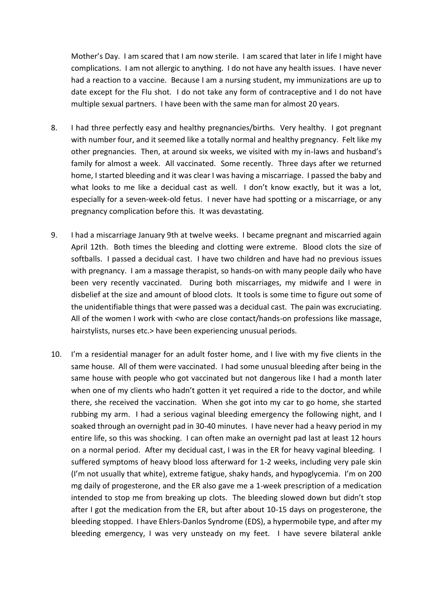Mother's Day. I am scared that I am now sterile. I am scared that later in life I might have complications. I am not allergic to anything. I do not have any health issues. I have never had a reaction to a vaccine. Because I am a nursing student, my immunizations are up to date except for the Flu shot. I do not take any form of contraceptive and I do not have multiple sexual partners. I have been with the same man for almost 20 years.

- 8. I had three perfectly easy and healthy pregnancies/births. Very healthy. I got pregnant with number four, and it seemed like a totally normal and healthy pregnancy. Felt like my other pregnancies. Then, at around six weeks, we visited with my in-laws and husband's family for almost a week. All vaccinated. Some recently. Three days after we returned home, I started bleeding and it was clear I was having a miscarriage. I passed the baby and what looks to me like a decidual cast as well. I don't know exactly, but it was a lot, especially for a seven-week-old fetus. I never have had spotting or a miscarriage, or any pregnancy complication before this. It was devastating.
- 9. I had a miscarriage January 9th at twelve weeks. I became pregnant and miscarried again April 12th. Both times the bleeding and clotting were extreme. Blood clots the size of softballs. I passed a decidual cast. I have two children and have had no previous issues with pregnancy. I am a massage therapist, so hands-on with many people daily who have been very recently vaccinated. During both miscarriages, my midwife and I were in disbelief at the size and amount of blood clots. It tools is some time to figure out some of the unidentifiable things that were passed was a decidual cast. The pain was excruciating. All of the women I work with <who are close contact/hands-on professions like massage, hairstylists, nurses etc.> have been experiencing unusual periods.
- 10. I'm a residential manager for an adult foster home, and I live with my five clients in the same house. All of them were vaccinated. I had some unusual bleeding after being in the same house with people who got vaccinated but not dangerous like I had a month later when one of my clients who hadn't gotten it yet required a ride to the doctor, and while there, she received the vaccination. When she got into my car to go home, she started rubbing my arm. I had a serious vaginal bleeding emergency the following night, and I soaked through an overnight pad in 30-40 minutes. I have never had a heavy period in my entire life, so this was shocking. I can often make an overnight pad last at least 12 hours on a normal period. After my decidual cast, I was in the ER for heavy vaginal bleeding. I suffered symptoms of heavy blood loss afterward for 1-2 weeks, including very pale skin (I'm not usually that white), extreme fatigue, shaky hands, and hypoglycemia. I'm on 200 mg daily of progesterone, and the ER also gave me a 1-week prescription of a medication intended to stop me from breaking up clots. The bleeding slowed down but didn't stop after I got the medication from the ER, but after about 10-15 days on progesterone, the bleeding stopped. I have Ehlers-Danlos Syndrome (EDS), a hypermobile type, and after my bleeding emergency, I was very unsteady on my feet. I have severe bilateral ankle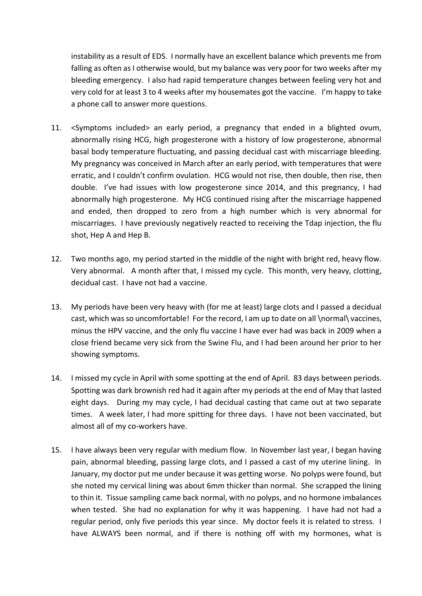instability as a result of EDS. I normally have an excellent balance which prevents me from falling as often as I otherwise would, but my balance was very poor for two weeks after my bleeding emergency. I also had rapid temperature changes between feeling very hot and very cold for at least 3 to 4 weeks after my housemates got the vaccine. I'm happy to take a phone call to answer more questions.

- 11. <Symptoms included> an early period, a pregnancy that ended in a blighted ovum, abnormally rising HCG, high progesterone with a history of low progesterone, abnormal basal body temperature fluctuating, and passing decidual cast with miscarriage bleeding. My pregnancy was conceived in March after an early period, with temperatures that were erratic, and I couldn't confirm ovulation. HCG would not rise, then double, then rise, then double. I've had issues with low progesterone since 2014, and this pregnancy, I had abnormally high progesterone. My HCG continued rising after the miscarriage happened and ended, then dropped to zero from a high number which is very abnormal for miscarriages. I have previously negatively reacted to receiving the Tdap injection, the flu shot, Hep A and Hep B.
- 12. Two months ago, my period started in the middle of the night with bright red, heavy flow. Very abnormal. A month after that, I missed my cycle. This month, very heavy, clotting, decidual cast. I have not had a vaccine.
- 13. My periods have been very heavy with (for me at least) large clots and I passed a decidual cast, which was so uncomfortable! For the record, I am up to date on all \normal\ vaccines, minus the HPV vaccine, and the only flu vaccine I have ever had was back in 2009 when a close friend became very sick from the Swine Flu, and I had been around her prior to her showing symptoms.
- 14. I missed my cycle in April with some spotting at the end of April. 83 days between periods. Spotting was dark brownish red had it again after my periods at the end of May that lasted eight days. During my may cycle, I had decidual casting that came out at two separate times. A week later, I had more spitting for three days. I have not been vaccinated, but almost all of my co-workers have.
- 15. I have always been very regular with medium flow. In November last year, I began having pain, abnormal bleeding, passing large clots, and I passed a cast of my uterine lining. In January, my doctor put me under because it was getting worse. No polyps were found, but she noted my cervical lining was about 6mm thicker than normal. She scrapped the lining to thin it. Tissue sampling came back normal, with no polyps, and no hormone imbalances when tested. She had no explanation for why it was happening. I have had not had a regular period, only five periods this year since. My doctor feels it is related to stress. I have ALWAYS been normal, and if there is nothing off with my hormones, what is